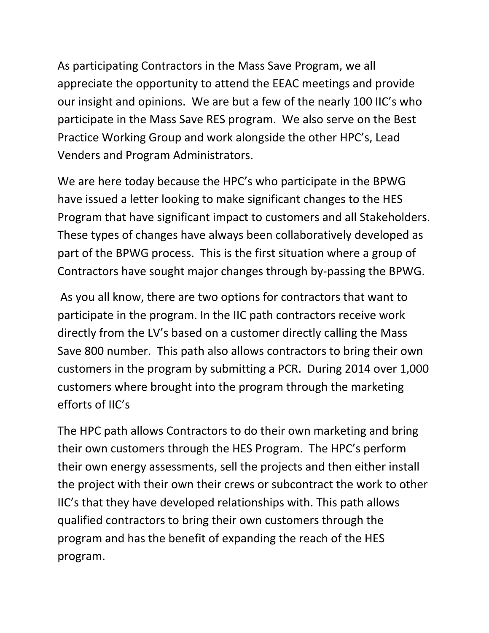As participating Contractors in the Mass Save Program, we all appreciate the opportunity to attend the EEAC meetings and provide our insight and opinions. We are but a few of the nearly 100 IIC's who participate in the Mass Save RES program. We also serve on the Best Practice Working Group and work alongside the other HPC's, Lead Venders and Program Administrators.

We are here today because the HPC's who participate in the BPWG have issued a letter looking to make significant changes to the HES Program that have significant impact to customers and all Stakeholders. These types of changes have always been collaboratively developed as part of the BPWG process. This is the first situation where a group of Contractors have sought major changes through by‐passing the BPWG.

As you all know, there are two options for contractors that want to participate in the program. In the IIC path contractors receive work directly from the LV's based on a customer directly calling the Mass Save 800 number. This path also allows contractors to bring their own customers in the program by submitting a PCR. During 2014 over 1,000 customers where brought into the program through the marketing efforts of IIC's

The HPC path allows Contractors to do their own marketing and bring their own customers through the HES Program. The HPC's perform their own energy assessments, sell the projects and then either install the project with their own their crews or subcontract the work to other IIC's that they have developed relationships with. This path allows qualified contractors to bring their own customers through the program and has the benefit of expanding the reach of the HES program.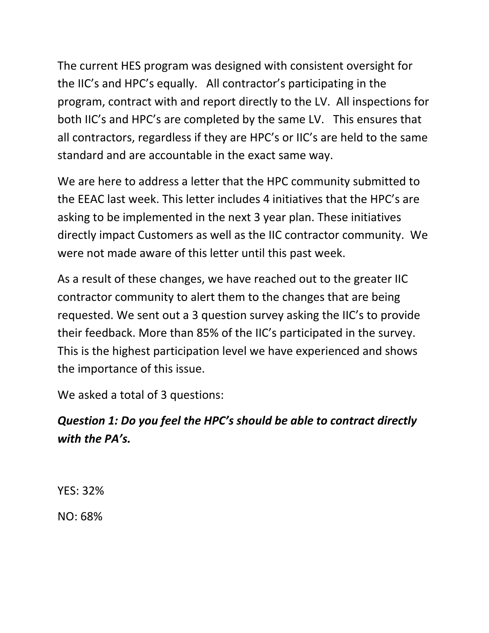The current HES program was designed with consistent oversight for the IIC's and HPC's equally. All contractor's participating in the program, contract with and report directly to the LV. All inspections for both IIC's and HPC's are completed by the same LV. This ensures that all contractors, regardless if they are HPC's or IIC's are held to the same standard and are accountable in the exact same way.

We are here to address a letter that the HPC community submitted to the EEAC last week. This letter includes 4 initiatives that the HPC's are asking to be implemented in the next 3 year plan. These initiatives directly impact Customers as well as the IIC contractor community. We were not made aware of this letter until this past week.

As a result of these changes, we have reached out to the greater IIC contractor community to alert them to the changes that are being requested. We sent out a 3 question survey asking the IIC's to provide their feedback. More than 85% of the IIC's participated in the survey. This is the highest participation level we have experienced and shows the importance of this issue.

We asked a total of 3 questions:

## *Question 1: Do you feel the HPC's should be able to contract directly with the PA's.*

YES: 32%

NO: 68%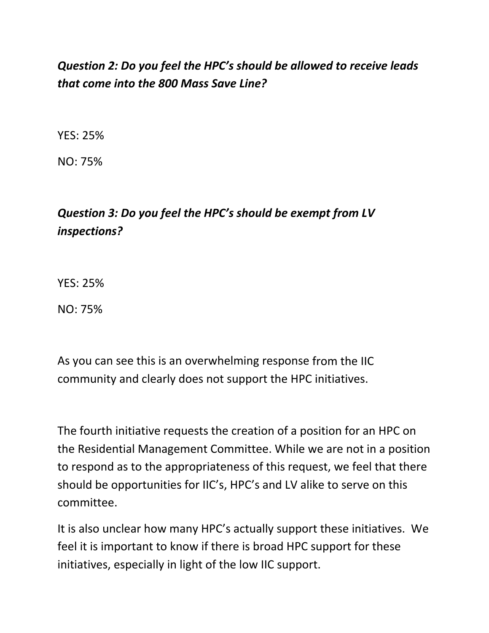## *Question 2: Do you feel the HPC's should be allowed to receive leads that come into the 800 Mass Save Line?*

YES: 25%

NO: 75%

## *Question 3: Do you feel the HPC's should be exempt from LV inspections?*

YES: 25%

NO: 75%

As you can see this is an overwhelming response from the IIC community and clearly does not support the HPC initiatives.

The fourth initiative requests the creation of a position for an HPC on the Residential Management Committee. While we are not in a position to respond as to the appropriateness of this request, we feel that there should be opportunities for IIC's, HPC's and LV alike to serve on this committee.

It is also unclear how many HPC's actually support these initiatives. We feel it is important to know if there is broad HPC support for these initiatives, especially in light of the low IIC support.